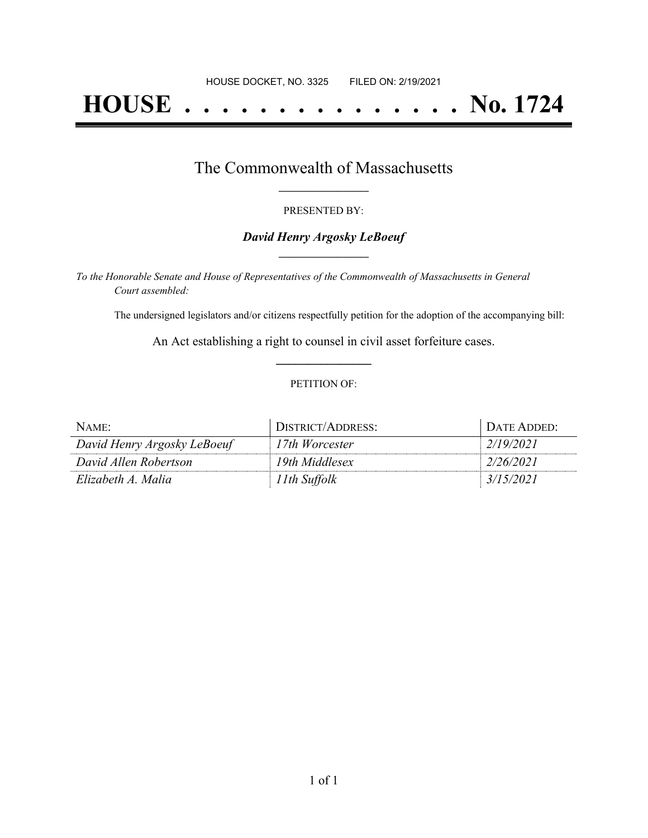# **HOUSE . . . . . . . . . . . . . . . No. 1724**

### The Commonwealth of Massachusetts **\_\_\_\_\_\_\_\_\_\_\_\_\_\_\_\_\_**

#### PRESENTED BY:

#### *David Henry Argosky LeBoeuf* **\_\_\_\_\_\_\_\_\_\_\_\_\_\_\_\_\_**

*To the Honorable Senate and House of Representatives of the Commonwealth of Massachusetts in General Court assembled:*

The undersigned legislators and/or citizens respectfully petition for the adoption of the accompanying bill:

An Act establishing a right to counsel in civil asset forfeiture cases. **\_\_\_\_\_\_\_\_\_\_\_\_\_\_\_**

#### PETITION OF:

| NAME:                       | DISTRICT/ADDRESS: | DATE ADDED: |
|-----------------------------|-------------------|-------------|
| David Henry Argosky LeBoeuf | 17th Worcester    | 2/19/2021   |
| David Allen Robertson       | 19th Middlesex    | 2/26/2021   |
| Elizabeth A. Malia          | 11th Suffolk      | 3/15/2021   |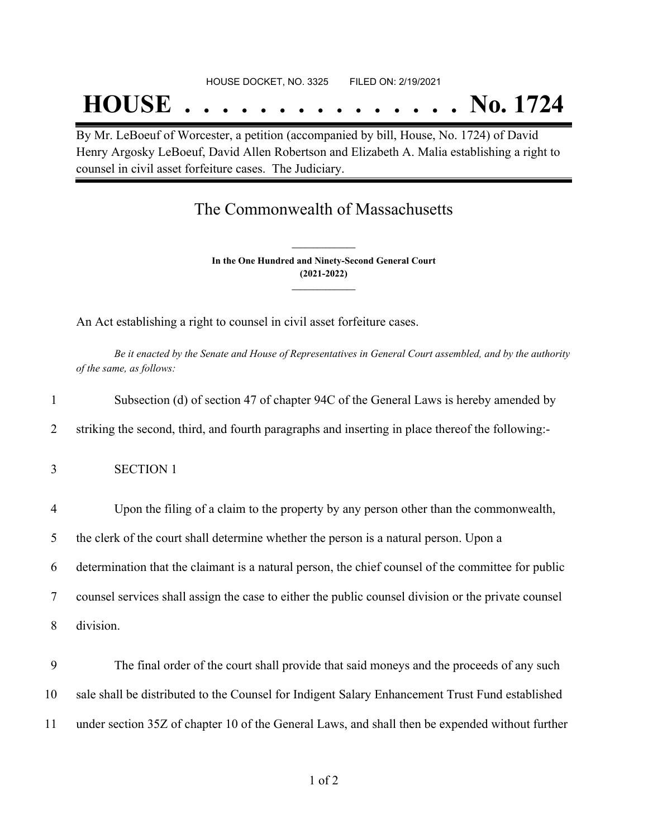## **HOUSE . . . . . . . . . . . . . . . No. 1724**

By Mr. LeBoeuf of Worcester, a petition (accompanied by bill, House, No. 1724) of David Henry Argosky LeBoeuf, David Allen Robertson and Elizabeth A. Malia establishing a right to counsel in civil asset forfeiture cases. The Judiciary.

## The Commonwealth of Massachusetts

**In the One Hundred and Ninety-Second General Court (2021-2022) \_\_\_\_\_\_\_\_\_\_\_\_\_\_\_**

**\_\_\_\_\_\_\_\_\_\_\_\_\_\_\_**

An Act establishing a right to counsel in civil asset forfeiture cases.

Be it enacted by the Senate and House of Representatives in General Court assembled, and by the authority *of the same, as follows:*

| 1              | Subsection (d) of section 47 of chapter 94C of the General Laws is hereby amended by                |
|----------------|-----------------------------------------------------------------------------------------------------|
| 2              | striking the second, third, and fourth paragraphs and inserting in place thereof the following:-    |
| 3              | <b>SECTION 1</b>                                                                                    |
| $\overline{4}$ | Upon the filing of a claim to the property by any person other than the commonwealth,               |
| 5              | the clerk of the court shall determine whether the person is a natural person. Upon a               |
| 6              | determination that the claimant is a natural person, the chief counsel of the committee for public  |
| 7              | counsel services shall assign the case to either the public counsel division or the private counsel |
| 8              | division.                                                                                           |
| 9              | The final order of the court shall provide that said moneys and the proceeds of any such            |
| 10             | sale shall be distributed to the Counsel for Indigent Salary Enhancement Trust Fund established     |
| 11             | under section 35Z of chapter 10 of the General Laws, and shall then be expended without further     |